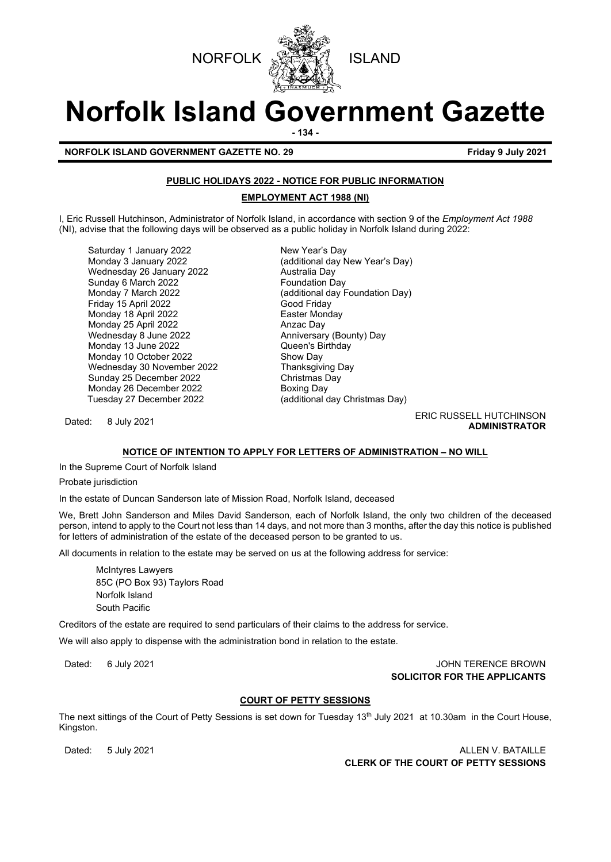



# **Norfolk Island Government Gazette**

**- 134 -**

**NORFOLK ISLAND GOVERNMENT GAZETTE NO. 29 Friday 9 July 2021** 

# **PUBLIC HOLIDAYS 2022 - NOTICE FOR PUBLIC INFORMATION**

# **EMPLOYMENT ACT 1988 (NI)**

I, Eric Russell Hutchinson, Administrator of Norfolk Island, in accordance with section 9 of the *Employment Act 1988* (NI), advise that the following days will be observed as a public holiday in Norfolk Island during 2022:

Saturday 1 January 2022 New Year's Day Wednesday 26 January 2022 **Australia Day**<br>Sunday 6 March 2022 **Australia Day** Sunday 6 March 2022<br>Monday 7 March 2022 Friday 15 April 2022 Monday 18 April 2022<br>Monday 25 April 2022 **Easter Monday 26 An**zac Day Monday 25 April 2022 Wednesday 8 June 2022 Anniversary (Bounty) Day Monday 13 June 2022 Queen's Birthday Monday 10 October 2022 Wednesday 30 November 2022 Thanksgiving Day Sunday 25 December 2022 Christmas Day Monday 26 December 2022<br>Tuesday 27 December 2022

Monday 3 January 2022 (additional day New Year's Day) (additional day Foundation Day)<br>Good Friday (additional day Christmas Day)

Dated: 8 July 2021 **ERIC RUSSELL HUTCHINSON ADMINISTRATOR**

## **NOTICE OF INTENTION TO APPLY FOR LETTERS OF ADMINISTRATION – NO WILL**

In the Supreme Court of Norfolk Island

Probate jurisdiction

In the estate of Duncan Sanderson late of Mission Road, Norfolk Island, deceased

We, Brett John Sanderson and Miles David Sanderson, each of Norfolk Island, the only two children of the deceased person, intend to apply to the Court not less than 14 days, and not more than 3 months, after the day this notice is published for letters of administration of the estate of the deceased person to be granted to us.

All documents in relation to the estate may be served on us at the following address for service:

McIntyres Lawyers 85C (PO Box 93) Taylors Road Norfolk Island South Pacific

Creditors of the estate are required to send particulars of their claims to the address for service.

We will also apply to dispense with the administration bond in relation to the estate.

Dated: 6 July 2021 **Dated: 6 July 2021 SOLICITOR FOR THE APPLICANTS**

## **COURT OF PETTY SESSIONS**

The next sittings of the Court of Petty Sessions is set down for Tuesday 13<sup>th</sup> July 2021 at 10.30am in the Court House, Kingston.

Dated: 5 July 2021 **ALLEN V. BATAILLE CLERK OF THE COURT OF PETTY SESSIONS**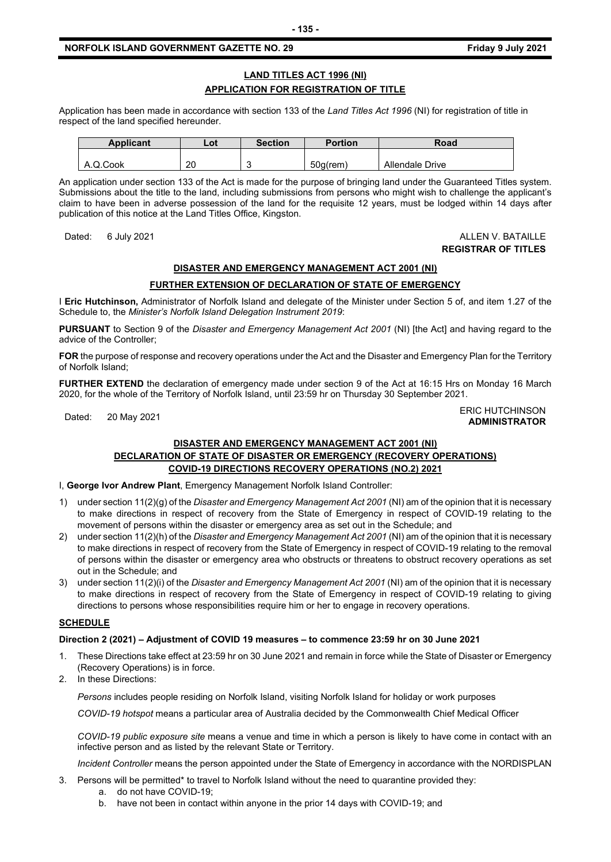#### **NORFOLK ISLAND GOVERNMENT GAZETTE NO. 29** *CONTRESS 19 <b>FRIDAY 19* Friday 9 July 2021

# **LAND TITLES ACT 1996 (NI) APPLICATION FOR REGISTRATION OF TITLE**

Application has been made in accordance with section 133 of the *Land Titles Act 1996* (NI) for registration of title in respect of the land specified hereunder.

| <b>Applicant</b> | Lot | <b>Section</b> | <b>Portion</b> | Road            |
|------------------|-----|----------------|----------------|-----------------|
|                  |     |                |                |                 |
| A.Q.Cook         | 20  |                | $50q$ (rem)    | Allendale Drive |

An application under section 133 of the Act is made for the purpose of bringing land under the Guaranteed Titles system. Submissions about the title to the land, including submissions from persons who might wish to challenge the applicant's claim to have been in adverse possession of the land for the requisite 12 years, must be lodged within 14 days after publication of this notice at the Land Titles Office, Kingston.

#### Dated: 6 July 2021 ALLEN V. BATAILLE **REGISTRAR OF TITLES**

**ADMINISTRATOR**

# **DISASTER AND EMERGENCY MANAGEMENT ACT 2001 (NI)**

# **FURTHER EXTENSION OF DECLARATION OF STATE OF EMERGENCY**

I **Eric Hutchinson,** Administrator of Norfolk Island and delegate of the Minister under Section 5 of, and item 1.27 of the Schedule to, the *Minister's Norfolk Island Delegation Instrument 2019*:

**PURSUANT** to Section 9 of the *Disaster and Emergency Management Act 2001* (NI) [the Act] and having regard to the advice of the Controller;

**FOR** the purpose of response and recovery operations under the Act and the Disaster and Emergency Plan for the Territory of Norfolk Island;

**FURTHER EXTEND** the declaration of emergency made under section 9 of the Act at 16:15 Hrs on Monday 16 March 2020, for the whole of the Territory of Norfolk Island, until 23:59 hr on Thursday 30 September 2021.

Dated: 20 May 2021<br>Dated: 20 May 2021

# **DISASTER AND EMERGENCY MANAGEMENT ACT 2001 (NI) DECLARATION OF STATE OF DISASTER OR EMERGENCY (RECOVERY OPERATIONS) COVID-19 DIRECTIONS RECOVERY OPERATIONS (NO.2) 2021**

I, **George Ivor Andrew Plant**, Emergency Management Norfolk Island Controller:

- 1) under section 11(2)(g) of the *Disaster and Emergency Management Act 2001* (NI) am of the opinion that it is necessary to make directions in respect of recovery from the State of Emergency in respect of COVID-19 relating to the movement of persons within the disaster or emergency area as set out in the Schedule; and
- 2) under section 11(2)(h) of the *Disaster and Emergency Management Act 2001* (NI) am of the opinion that it is necessary to make directions in respect of recovery from the State of Emergency in respect of COVID-19 relating to the removal of persons within the disaster or emergency area who obstructs or threatens to obstruct recovery operations as set out in the Schedule; and
- 3) under section 11(2)(i) of the *Disaster and Emergency Management Act 2001* (NI) am of the opinion that it is necessary to make directions in respect of recovery from the State of Emergency in respect of COVID-19 relating to giving directions to persons whose responsibilities require him or her to engage in recovery operations.

#### **SCHEDULE**

#### **Direction 2 (2021) – Adjustment of COVID 19 measures – to commence 23:59 hr on 30 June 2021**

- 1. These Directions take effect at 23:59 hr on 30 June 2021 and remain in force while the State of Disaster or Emergency (Recovery Operations) is in force.
- 2. In these Directions:

*Persons* includes people residing on Norfolk Island, visiting Norfolk Island for holiday or work purposes

*COVID-19 hotspot* means a particular area of Australia decided by the Commonwealth Chief Medical Officer

*COVID-19 public exposure site* means a venue and time in which a person is likely to have come in contact with an infective person and as listed by the relevant State or Territory.

*Incident Controller* means the person appointed under the State of Emergency in accordance with the NORDISPLAN

- 3. Persons will be permitted\* to travel to Norfolk Island without the need to quarantine provided they:
	- a. do not have COVID-19;
	- b. have not been in contact within anyone in the prior 14 days with COVID-19; and